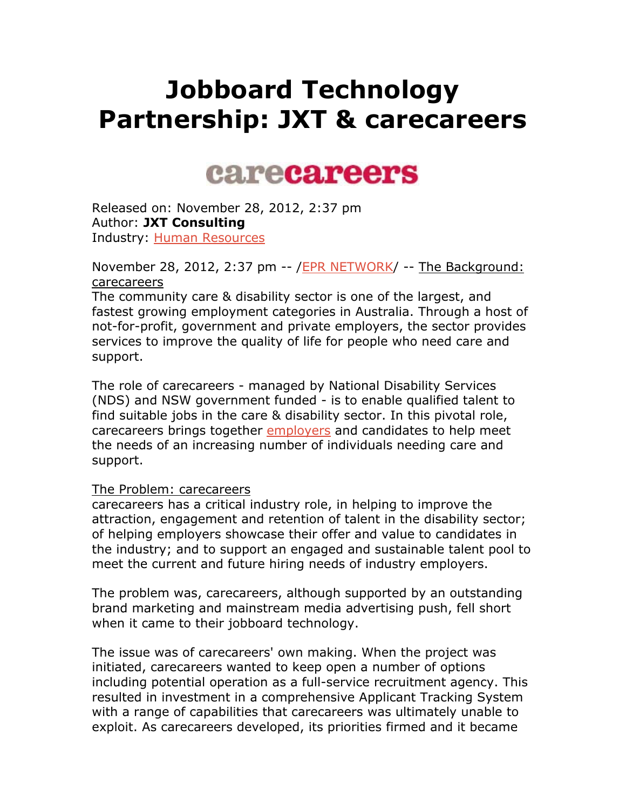# **Jobboard Technology Partnership: JXT & carecareers**

# carecareers

Released on: November 28, 2012, 2:37 pm Author: **JXT Consulting** Industry: Human Resources

November 28, 2012, 2:37 pm -- /EPR NETWORK/ -- The Background: carecareers

The community care & disability sector is one of the largest, and fastest growing employment categories in Australia. Through a host of not-for-profit, government and private employers, the sector provides services to improve the quality of life for people who need care and support.

The role of carecareers - managed by National Disability Services (NDS) and NSW government funded - is to enable qualified talent to find suitable jobs in the care & disability sector. In this pivotal role, carecareers brings together employers and candidates to help meet the needs of an increasing number of individuals needing care and support.

#### The Problem: carecareers

carecareers has a critical industry role, in helping to improve the attraction, engagement and retention of talent in the disability sector; of helping employers showcase their offer and value to candidates in the industry; and to support an engaged and sustainable talent pool to meet the current and future hiring needs of industry employers.

The problem was, carecareers, although supported by an outstanding brand marketing and mainstream media advertising push, fell short when it came to their jobboard technology.

The issue was of carecareers' own making. When the project was initiated, carecareers wanted to keep open a number of options including potential operation as a full-service recruitment agency. This resulted in investment in a comprehensive Applicant Tracking System with a range of capabilities that carecareers was ultimately unable to exploit. As carecareers developed, its priorities firmed and it became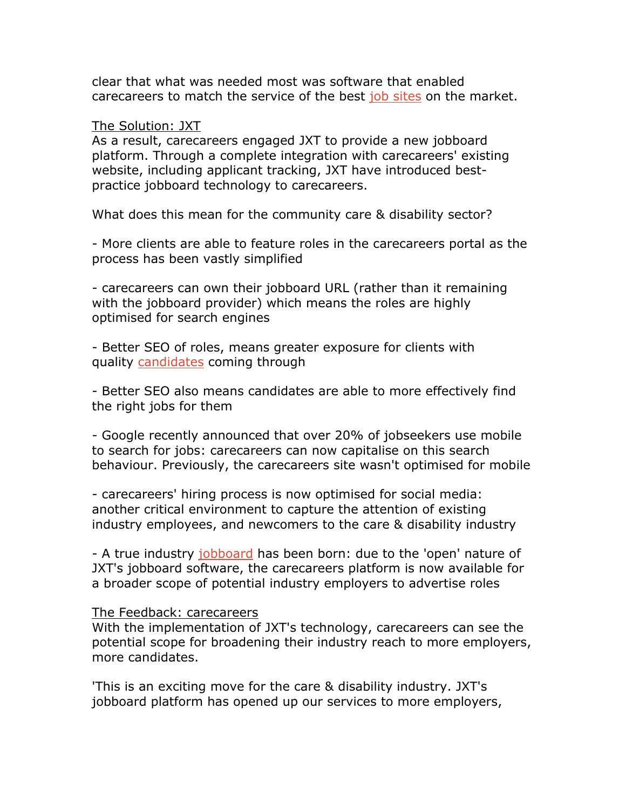clear that what was needed most was software that enabled carecareers to match the service of the best job sites on the market.

#### The Solution: JXT

As a result, carecareers engaged JXT to provide a new jobboard platform. Through a complete integration with carecareers' existing website, including applicant tracking, JXT have introduced bestpractice jobboard technology to carecareers.

What does this mean for the community care & disability sector?

- More clients are able to feature roles in the carecareers portal as the process has been vastly simplified

- carecareers can own their jobboard URL (rather than it remaining with the jobboard provider) which means the roles are highly optimised for search engines

- Better SEO of roles, means greater exposure for clients with quality candidates coming through

- Better SEO also means candidates are able to more effectively find the right jobs for them

- Google recently announced that over 20% of jobseekers use mobile to search for jobs: carecareers can now capitalise on this search behaviour. Previously, the carecareers site wasn't optimised for mobile

- carecareers' hiring process is now optimised for social media: another critical environment to capture the attention of existing industry employees, and newcomers to the care & disability industry

- A true industry jobboard has been born: due to the 'open' nature of JXT's jobboard software, the carecareers platform is now available for a broader scope of potential industry employers to advertise roles

#### The Feedback: carecareers

With the implementation of JXT's technology, carecareers can see the potential scope for broadening their industry reach to more employers, more candidates.

'This is an exciting move for the care & disability industry. JXT's jobboard platform has opened up our services to more employers,